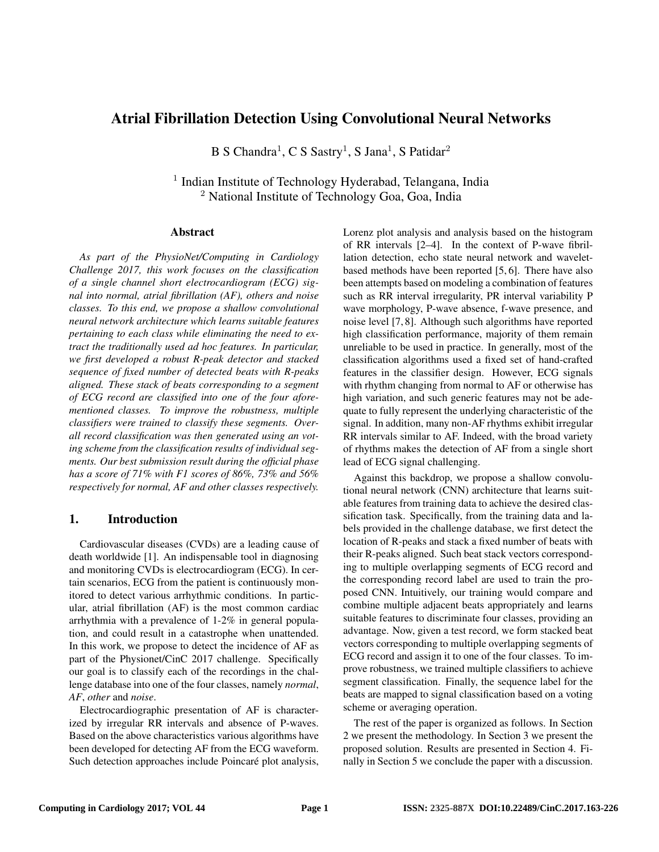# Atrial Fibrillation Detection Using Convolutional Neural Networks

B S Chandra<sup>1</sup>, C S Sastry<sup>1</sup>, S Jana<sup>1</sup>, S Patidar<sup>2</sup>

<sup>1</sup> Indian Institute of Technology Hyderabad, Telangana, India <sup>2</sup> National Institute of Technology Goa, Goa, India

### Abstract

*As part of the PhysioNet/Computing in Cardiology Challenge 2017, this work focuses on the classification of a single channel short electrocardiogram (ECG) signal into normal, atrial fibrillation (AF), others and noise classes. To this end, we propose a shallow convolutional neural network architecture which learns suitable features pertaining to each class while eliminating the need to extract the traditionally used ad hoc features. In particular, we first developed a robust R-peak detector and stacked sequence of fixed number of detected beats with R-peaks aligned. These stack of beats corresponding to a segment of ECG record are classified into one of the four aforementioned classes. To improve the robustness, multiple classifiers were trained to classify these segments. Overall record classification was then generated using an voting scheme from the classification results of individual segments. Our best submission result during the official phase has a score of 71% with F1 scores of 86%, 73% and 56% respectively for normal, AF and other classes respectively.*

# 1. Introduction

Cardiovascular diseases (CVDs) are a leading cause of death worldwide [1]. An indispensable tool in diagnosing and monitoring CVDs is electrocardiogram (ECG). In certain scenarios, ECG from the patient is continuously monitored to detect various arrhythmic conditions. In particular, atrial fibrillation (AF) is the most common cardiac arrhythmia with a prevalence of 1-2% in general population, and could result in a catastrophe when unattended. In this work, we propose to detect the incidence of AF as part of the Physionet/CinC 2017 challenge. Specifically our goal is to classify each of the recordings in the challenge database into one of the four classes, namely *normal*, *AF*, *other* and *noise*.

Electrocardiographic presentation of AF is characterized by irregular RR intervals and absence of P-waves. Based on the above characteristics various algorithms have been developed for detecting AF from the ECG waveform. Such detection approaches include Poincaré plot analysis, Lorenz plot analysis and analysis based on the histogram of RR intervals [2–4]. In the context of P-wave fibrillation detection, echo state neural network and waveletbased methods have been reported [5, 6]. There have also been attempts based on modeling a combination of features such as RR interval irregularity, PR interval variability P wave morphology, P-wave absence, f-wave presence, and noise level [7, 8]. Although such algorithms have reported high classification performance, majority of them remain unreliable to be used in practice. In generally, most of the classification algorithms used a fixed set of hand-crafted features in the classifier design. However, ECG signals with rhythm changing from normal to AF or otherwise has high variation, and such generic features may not be adequate to fully represent the underlying characteristic of the signal. In addition, many non-AF rhythms exhibit irregular RR intervals similar to AF. Indeed, with the broad variety of rhythms makes the detection of AF from a single short lead of ECG signal challenging.

Against this backdrop, we propose a shallow convolutional neural network (CNN) architecture that learns suitable features from training data to achieve the desired classification task. Specifically, from the training data and labels provided in the challenge database, we first detect the location of R-peaks and stack a fixed number of beats with their R-peaks aligned. Such beat stack vectors corresponding to multiple overlapping segments of ECG record and the corresponding record label are used to train the proposed CNN. Intuitively, our training would compare and combine multiple adjacent beats appropriately and learns suitable features to discriminate four classes, providing an advantage. Now, given a test record, we form stacked beat vectors corresponding to multiple overlapping segments of ECG record and assign it to one of the four classes. To improve robustness, we trained multiple classifiers to achieve segment classification. Finally, the sequence label for the beats are mapped to signal classification based on a voting scheme or averaging operation.

The rest of the paper is organized as follows. In Section 2 we present the methodology. In Section 3 we present the proposed solution. Results are presented in Section 4. Finally in Section 5 we conclude the paper with a discussion.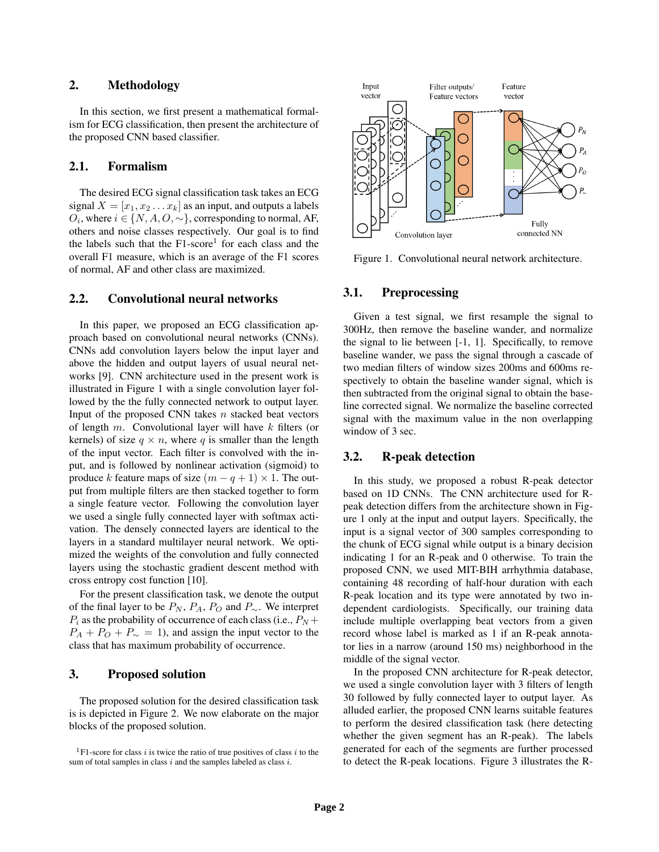# 2. Methodology

In this section, we first present a mathematical formalism for ECG classification, then present the architecture of the proposed CNN based classifier.

# 2.1. Formalism

The desired ECG signal classification task takes an ECG signal  $X = [x_1, x_2, \dots, x_k]$  as an input, and outputs a labels  $O_i$ , where  $i \in \{N, A, O, \sim\}$ , corresponding to normal, AF, others and noise classes respectively. Our goal is to find the labels such that the F1-score<sup>1</sup> for each class and the overall F1 measure, which is an average of the F1 scores of normal, AF and other class are maximized.

#### 2.2. Convolutional neural networks

In this paper, we proposed an ECG classification approach based on convolutional neural networks (CNNs). CNNs add convolution layers below the input layer and above the hidden and output layers of usual neural networks [9]. CNN architecture used in the present work is illustrated in Figure 1 with a single convolution layer followed by the the fully connected network to output layer. Input of the proposed CNN takes  $n$  stacked beat vectors of length  $m$ . Convolutional layer will have  $k$  filters (or kernels) of size  $q \times n$ , where q is smaller than the length of the input vector. Each filter is convolved with the input, and is followed by nonlinear activation (sigmoid) to produce k feature maps of size  $(m - q + 1) \times 1$ . The output from multiple filters are then stacked together to form a single feature vector. Following the convolution layer we used a single fully connected layer with softmax activation. The densely connected layers are identical to the layers in a standard multilayer neural network. We optimized the weights of the convolution and fully connected layers using the stochastic gradient descent method with cross entropy cost function [10].

For the present classification task, we denote the output of the final layer to be  $P_N$ ,  $P_A$ ,  $P_O$  and  $P_{\sim}$ . We interpret  $P_i$  as the probability of occurrence of each class (i.e.,  $P_N$  +  $P_A + P_O + P_\sim = 1$ , and assign the input vector to the class that has maximum probability of occurrence.

# 3. Proposed solution

The proposed solution for the desired classification task is is depicted in Figure 2. We now elaborate on the major blocks of the proposed solution.



Figure 1. Convolutional neural network architecture.

## 3.1. Preprocessing

Given a test signal, we first resample the signal to 300Hz, then remove the baseline wander, and normalize the signal to lie between [-1, 1]. Specifically, to remove baseline wander, we pass the signal through a cascade of two median filters of window sizes 200ms and 600ms respectively to obtain the baseline wander signal, which is then subtracted from the original signal to obtain the baseline corrected signal. We normalize the baseline corrected signal with the maximum value in the non overlapping window of 3 sec.

### 3.2. R-peak detection

In this study, we proposed a robust R-peak detector based on 1D CNNs. The CNN architecture used for Rpeak detection differs from the architecture shown in Figure 1 only at the input and output layers. Specifically, the input is a signal vector of 300 samples corresponding to the chunk of ECG signal while output is a binary decision indicating 1 for an R-peak and 0 otherwise. To train the proposed CNN, we used MIT-BIH arrhythmia database, containing 48 recording of half-hour duration with each R-peak location and its type were annotated by two independent cardiologists. Specifically, our training data include multiple overlapping beat vectors from a given record whose label is marked as 1 if an R-peak annotator lies in a narrow (around 150 ms) neighborhood in the middle of the signal vector.

In the proposed CNN architecture for R-peak detector, we used a single convolution layer with 3 filters of length 30 followed by fully connected layer to output layer. As alluded earlier, the proposed CNN learns suitable features to perform the desired classification task (here detecting whether the given segment has an R-peak). The labels generated for each of the segments are further processed to detect the R-peak locations. Figure 3 illustrates the R-

<sup>&</sup>lt;sup>1</sup>F1-score for class i is twice the ratio of true positives of class i to the sum of total samples in class  $i$  and the samples labeled as class  $i$ .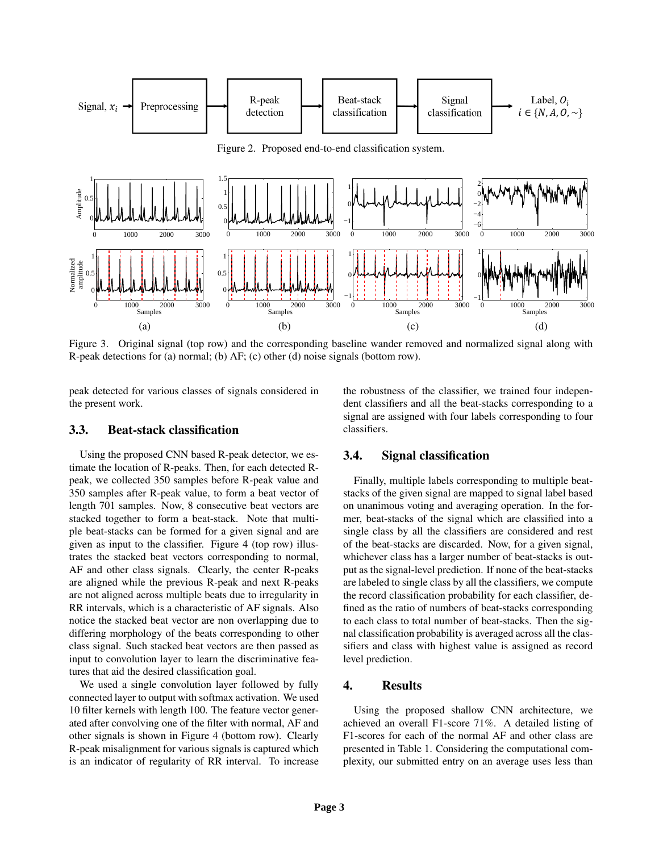

Figure 3. Original signal (top row) and the corresponding baseline wander removed and normalized signal along with R-peak detections for (a) normal; (b) AF; (c) other (d) noise signals (bottom row).

peak detected for various classes of signals considered in the present work.

### 3.3. Beat-stack classification

Using the proposed CNN based R-peak detector, we estimate the location of R-peaks. Then, for each detected Rpeak, we collected 350 samples before R-peak value and 350 samples after R-peak value, to form a beat vector of length 701 samples. Now, 8 consecutive beat vectors are stacked together to form a beat-stack. Note that multiple beat-stacks can be formed for a given signal and are given as input to the classifier. Figure 4 (top row) illustrates the stacked beat vectors corresponding to normal, AF and other class signals. Clearly, the center R-peaks are aligned while the previous R-peak and next R-peaks are not aligned across multiple beats due to irregularity in RR intervals, which is a characteristic of AF signals. Also notice the stacked beat vector are non overlapping due to differing morphology of the beats corresponding to other class signal. Such stacked beat vectors are then passed as input to convolution layer to learn the discriminative features that aid the desired classification goal.

We used a single convolution layer followed by fully connected layer to output with softmax activation. We used 10 filter kernels with length 100. The feature vector generated after convolving one of the filter with normal, AF and other signals is shown in Figure 4 (bottom row). Clearly R-peak misalignment for various signals is captured which is an indicator of regularity of RR interval. To increase the robustness of the classifier, we trained four independent classifiers and all the beat-stacks corresponding to a signal are assigned with four labels corresponding to four classifiers.

## 3.4. Signal classification

Finally, multiple labels corresponding to multiple beatstacks of the given signal are mapped to signal label based on unanimous voting and averaging operation. In the former, beat-stacks of the signal which are classified into a single class by all the classifiers are considered and rest of the beat-stacks are discarded. Now, for a given signal, whichever class has a larger number of beat-stacks is output as the signal-level prediction. If none of the beat-stacks are labeled to single class by all the classifiers, we compute the record classification probability for each classifier, defined as the ratio of numbers of beat-stacks corresponding to each class to total number of beat-stacks. Then the signal classification probability is averaged across all the classifiers and class with highest value is assigned as record level prediction.

# 4. Results

Using the proposed shallow CNN architecture, we achieved an overall F1-score 71%. A detailed listing of F1-scores for each of the normal AF and other class are presented in Table 1. Considering the computational complexity, our submitted entry on an average uses less than